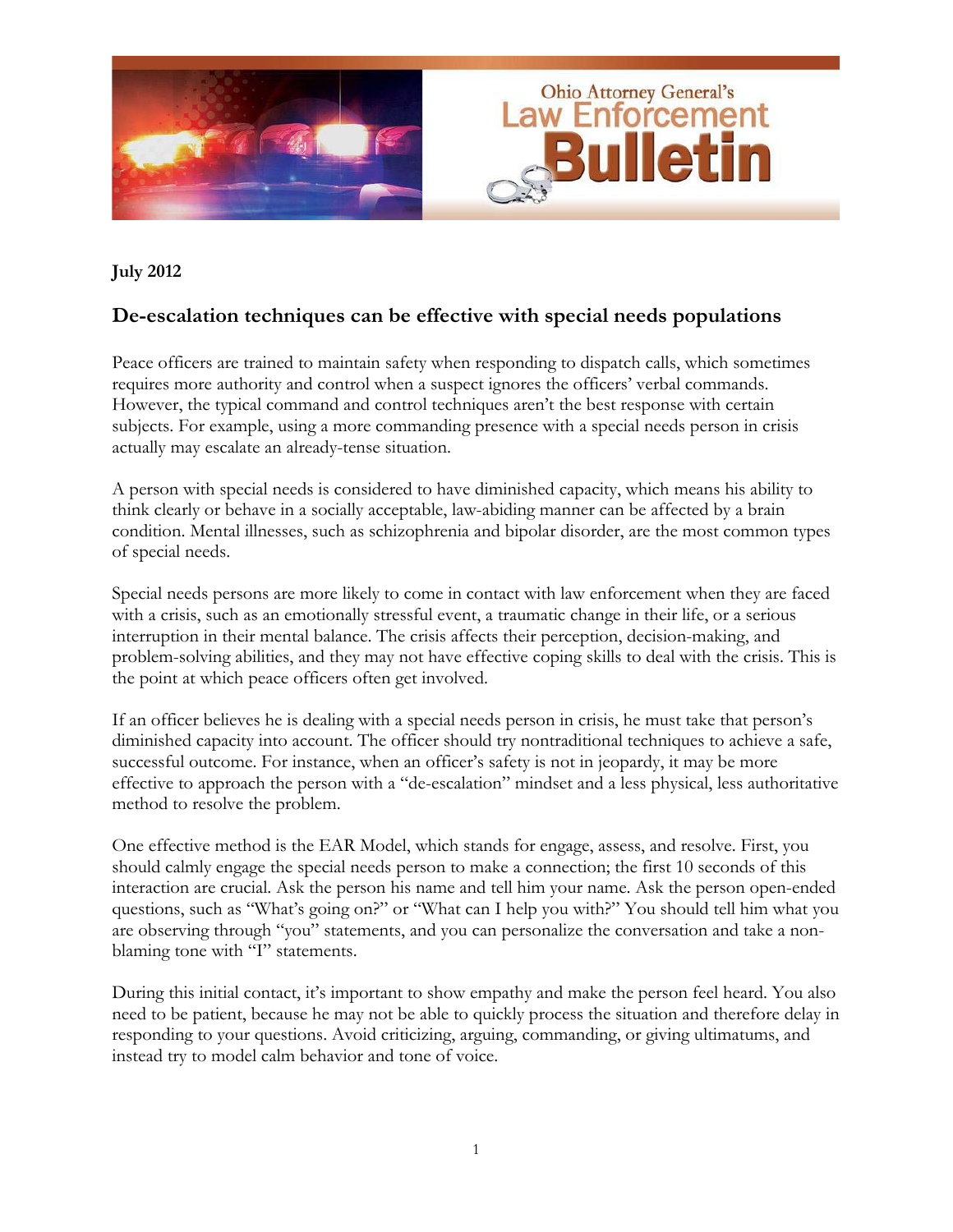

#### **July 2012**

## **De-escalation techniques can be effective with special needs populations**

Peace officers are trained to maintain safety when responding to dispatch calls, which sometimes requires more authority and control when a suspect ignores the officers' verbal commands. However, the typical command and control techniques aren't the best response with certain subjects. For example, using a more commanding presence with a special needs person in crisis actually may escalate an already-tense situation.

A person with special needs is considered to have diminished capacity, which means his ability to think clearly or behave in a socially acceptable, law-abiding manner can be affected by a brain condition. Mental illnesses, such as schizophrenia and bipolar disorder, are the most common types of special needs.

Special needs persons are more likely to come in contact with law enforcement when they are faced with a crisis, such as an emotionally stressful event, a traumatic change in their life, or a serious interruption in their mental balance. The crisis affects their perception, decision-making, and problem-solving abilities, and they may not have effective coping skills to deal with the crisis. This is the point at which peace officers often get involved.

If an officer believes he is dealing with a special needs person in crisis, he must take that person's diminished capacity into account. The officer should try nontraditional techniques to achieve a safe, successful outcome. For instance, when an officer's safety is not in jeopardy, it may be more effective to approach the person with a "de-escalation" mindset and a less physical, less authoritative method to resolve the problem.

One effective method is the EAR Model, which stands for engage, assess, and resolve. First, you should calmly engage the special needs person to make a connection; the first 10 seconds of this interaction are crucial. Ask the person his name and tell him your name. Ask the person open-ended questions, such as "What's going on?" or "What can I help you with?" You should tell him what you are observing through "you" statements, and you can personalize the conversation and take a nonblaming tone with "I" statements.

During this initial contact, it's important to show empathy and make the person feel heard. You also need to be patient, because he may not be able to quickly process the situation and therefore delay in responding to your questions. Avoid criticizing, arguing, commanding, or giving ultimatums, and instead try to model calm behavior and tone of voice.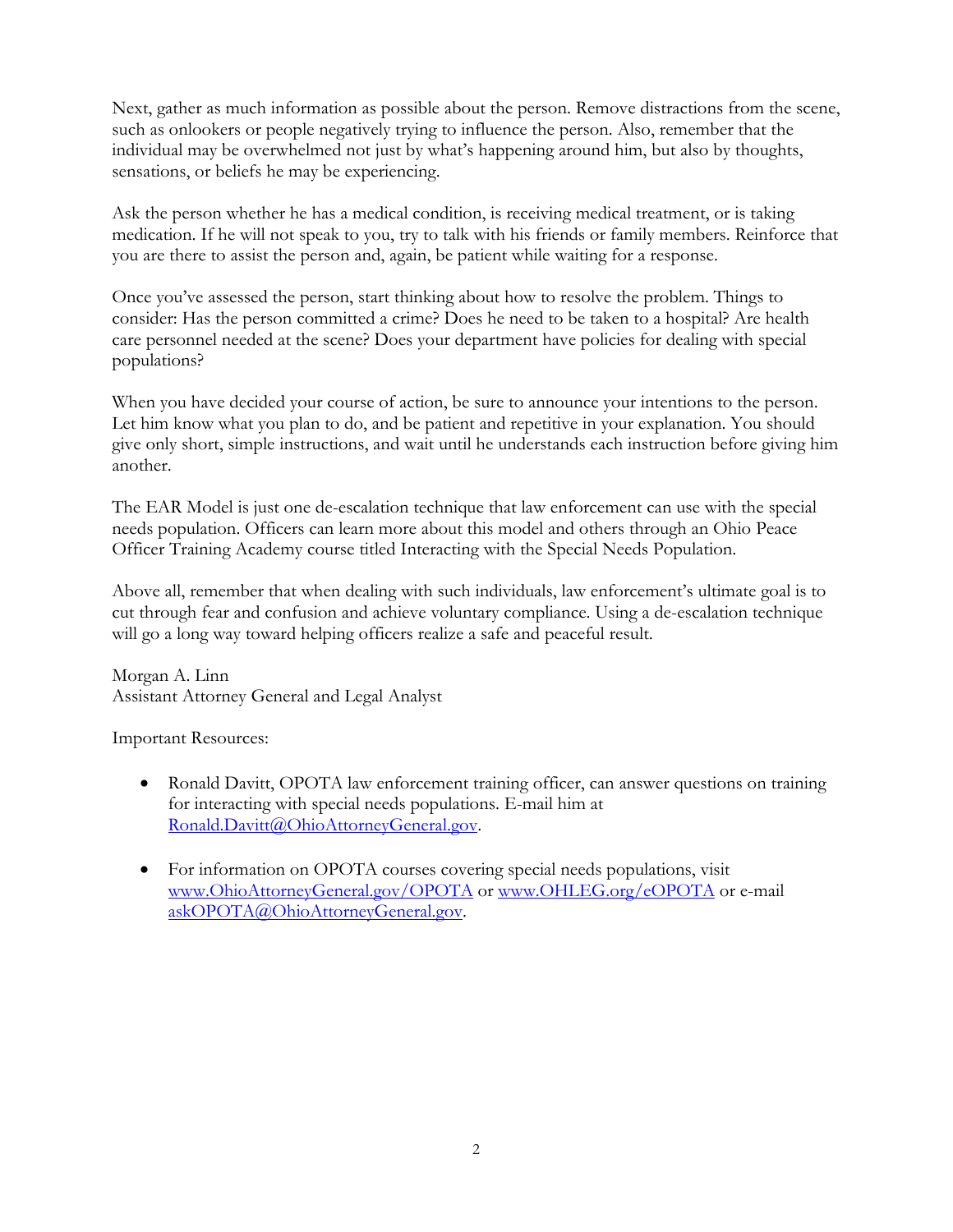Next, gather as much information as possible about the person. Remove distractions from the scene, such as onlookers or people negatively trying to influence the person. Also, remember that the individual may be overwhelmed not just by what's happening around him, but also by thoughts, sensations, or beliefs he may be experiencing.

Ask the person whether he has a medical condition, is receiving medical treatment, or is taking medication. If he will not speak to you, try to talk with his friends or family members. Reinforce that you are there to assist the person and, again, be patient while waiting for a response.

Once you've assessed the person, start thinking about how to resolve the problem. Things to consider: Has the person committed a crime? Does he need to be taken to a hospital? Are health care personnel needed at the scene? Does your department have policies for dealing with special populations?

When you have decided your course of action, be sure to announce your intentions to the person. Let him know what you plan to do, and be patient and repetitive in your explanation. You should give only short, simple instructions, and wait until he understands each instruction before giving him another.

The EAR Model is just one de-escalation technique that law enforcement can use with the special needs population. Officers can learn more about this model and others through an Ohio Peace Officer Training Academy course titled Interacting with the Special Needs Population.

Above all, remember that when dealing with such individuals, law enforcement's ultimate goal is to cut through fear and confusion and achieve voluntary compliance. Using a de-escalation technique will go a long way toward helping officers realize a safe and peaceful result.

Morgan A. Linn Assistant Attorney General and Legal Analyst

Important Resources:

- Ronald Davitt, OPOTA law enforcement training officer, can answer questions on training for interacting with special needs populations. E-mail him at Ronald.Davitt@OhioAttorneyGeneral.gov.
- For information on OPOTA courses covering special needs populations, visit www.OhioAttorneyGeneral.gov/OPOTA or www.OHLEG.org/eOPOTA or e-mail askOPOTA@OhioAttorneyGeneral.gov.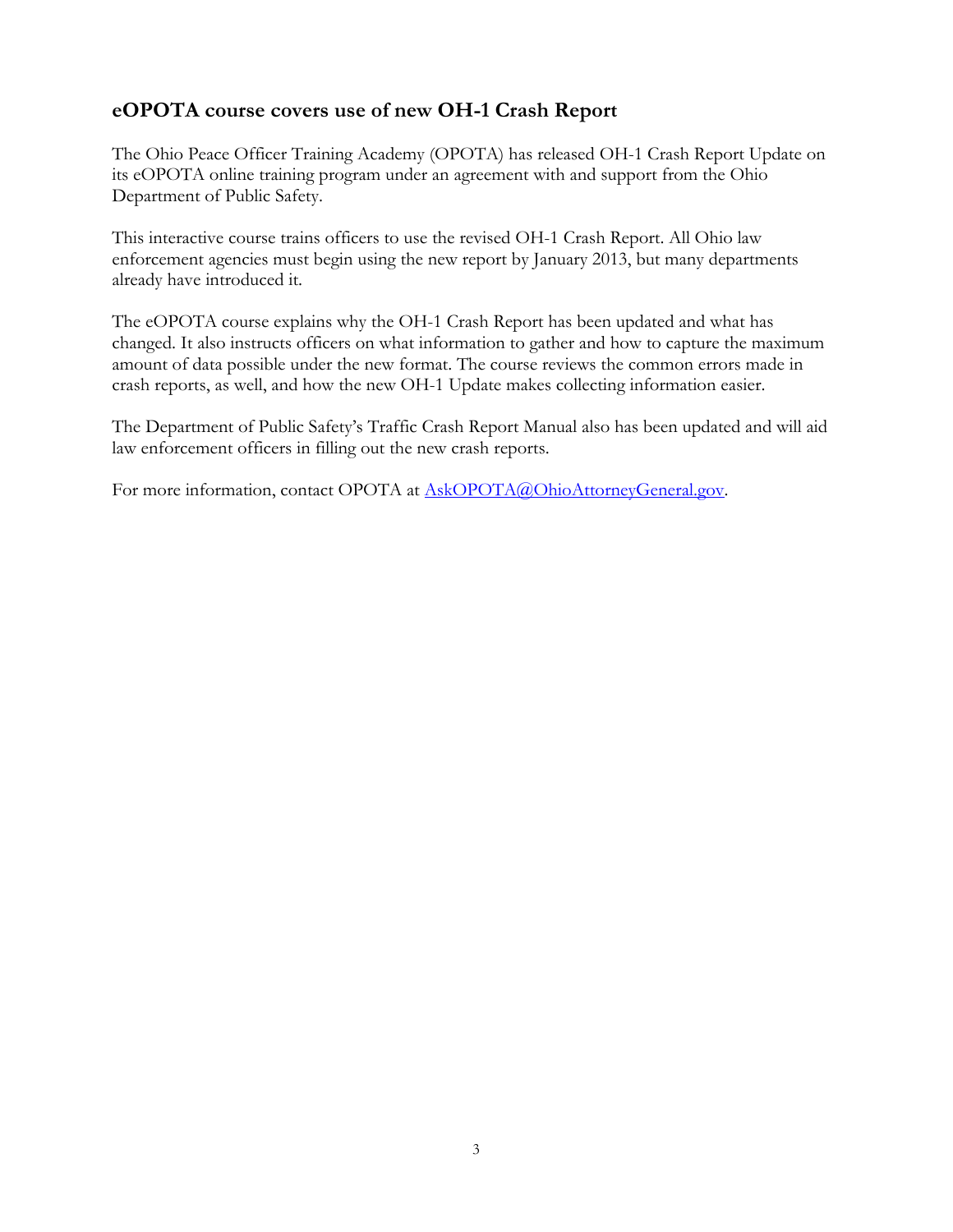# **eOPOTA course covers use of new OH-1 Crash Report**

The Ohio Peace Officer Training Academy (OPOTA) has released OH-1 Crash Report Update on its eOPOTA online training program under an agreement with and support from the Ohio Department of Public Safety.

This interactive course trains officers to use the revised OH-1 Crash Report. All Ohio law enforcement agencies must begin using the new report by January 2013, but many departments already have introduced it.

The eOPOTA course explains why the OH-1 Crash Report has been updated and what has changed. It also instructs officers on what information to gather and how to capture the maximum amount of data possible under the new format. The course reviews the common errors made in crash reports, as well, and how the new OH-1 Update makes collecting information easier.

The Department of Public Safety's Traffic Crash Report Manual also has been updated and will aid law enforcement officers in filling out the new crash reports.

For more information, contact OPOTA at AskOPOTA@OhioAttorneyGeneral.gov.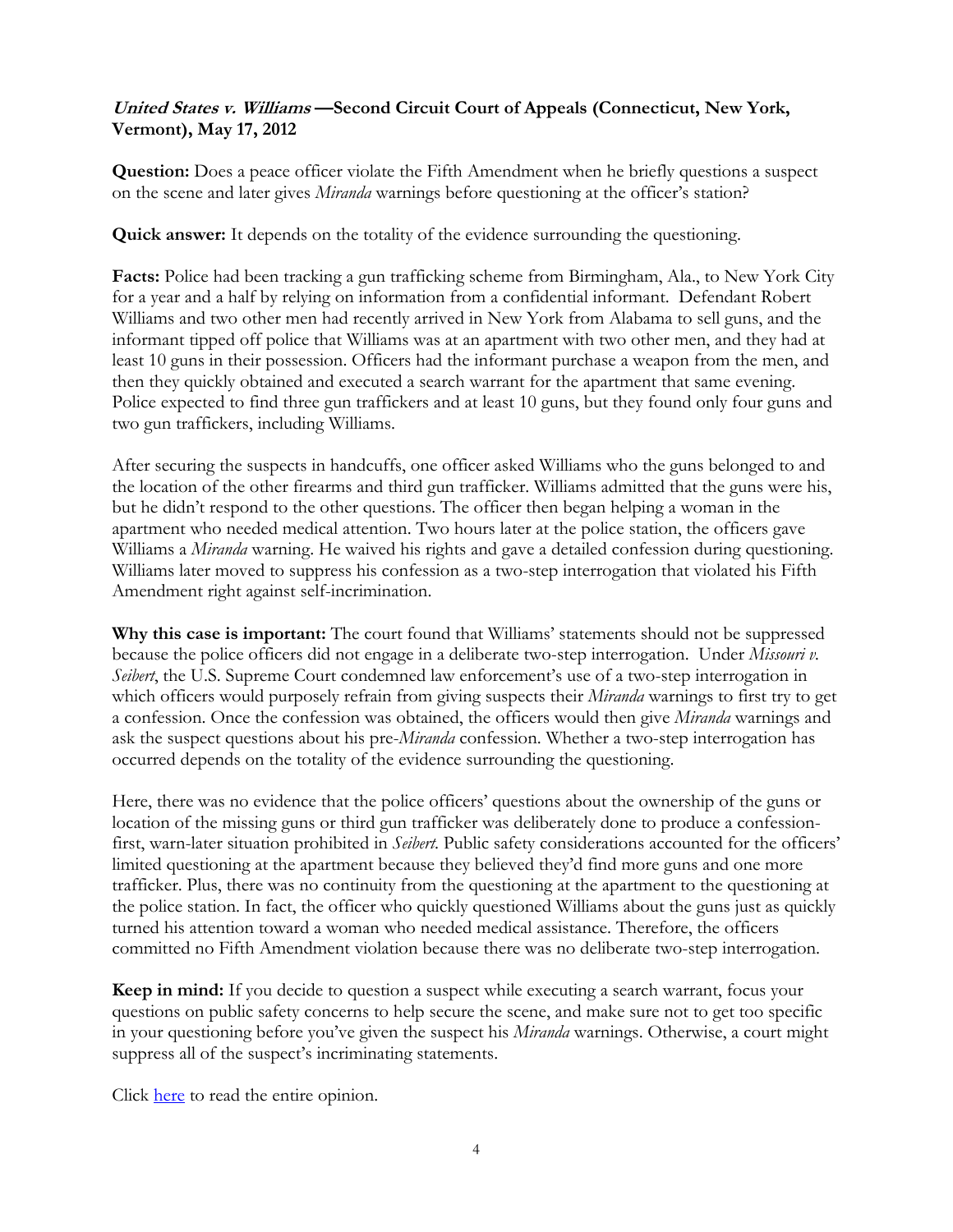## **United States v. Williams —Second Circuit Court of Appeals (Connecticut, New York, Vermont), May 17, 2012**

**Question:** Does a peace officer violate the Fifth Amendment when he briefly questions a suspect on the scene and later gives *Miranda* warnings before questioning at the officer's station?

**Quick answer:** It depends on the totality of the evidence surrounding the questioning.

**Facts:** Police had been tracking a gun trafficking scheme from Birmingham, Ala., to New York City for a year and a half by relying on information from a confidential informant. Defendant Robert Williams and two other men had recently arrived in New York from Alabama to sell guns, and the informant tipped off police that Williams was at an apartment with two other men, and they had at least 10 guns in their possession. Officers had the informant purchase a weapon from the men, and then they quickly obtained and executed a search warrant for the apartment that same evening. Police expected to find three gun traffickers and at least 10 guns, but they found only four guns and two gun traffickers, including Williams.

After securing the suspects in handcuffs, one officer asked Williams who the guns belonged to and the location of the other firearms and third gun trafficker. Williams admitted that the guns were his, but he didn't respond to the other questions. The officer then began helping a woman in the apartment who needed medical attention. Two hours later at the police station, the officers gave Williams a *Miranda* warning. He waived his rights and gave a detailed confession during questioning. Williams later moved to suppress his confession as a two-step interrogation that violated his Fifth Amendment right against self-incrimination.

**Why this case is important:** The court found that Williams' statements should not be suppressed because the police officers did not engage in a deliberate two-step interrogation. Under *Missouri v. Seibert*, the U.S. Supreme Court condemned law enforcement's use of a two-step interrogation in which officers would purposely refrain from giving suspects their *Miranda* warnings to first try to get a confession. Once the confession was obtained, the officers would then give *Miranda* warnings and ask the suspect questions about his pre-*Miranda* confession. Whether a two-step interrogation has occurred depends on the totality of the evidence surrounding the questioning.

Here, there was no evidence that the police officers' questions about the ownership of the guns or location of the missing guns or third gun trafficker was deliberately done to produce a confessionfirst, warn-later situation prohibited in *Seibert*. Public safety considerations accounted for the officers' limited questioning at the apartment because they believed they'd find more guns and one more trafficker. Plus, there was no continuity from the questioning at the apartment to the questioning at the police station. In fact, the officer who quickly questioned Williams about the guns just as quickly turned his attention toward a woman who needed medical assistance. Therefore, the officers committed no Fifth Amendment violation because there was no deliberate two-step interrogation.

**Keep in mind:** If you decide to question a suspect while executing a search warrant, focus your questions on public safety concerns to help secure the scene, and make sure not to get too specific in your questioning before you've given the suspect his *Miranda* warnings. Otherwise, a court might suppress all of the suspect's incriminating statements.

Click [here](http://www.ca2.uscourts.gov/decisions/isysquery/54a4ca39-b6b9-4a99-88f9-97d7bd981465/9/doc/11-324_opn.pdf#xml=http://www.ca2.uscourts.gov/decisions/isysquery/54a4ca39-b6b9-4a99-88f9-97d7bd981465/9/hilite/) to read the entire opinion.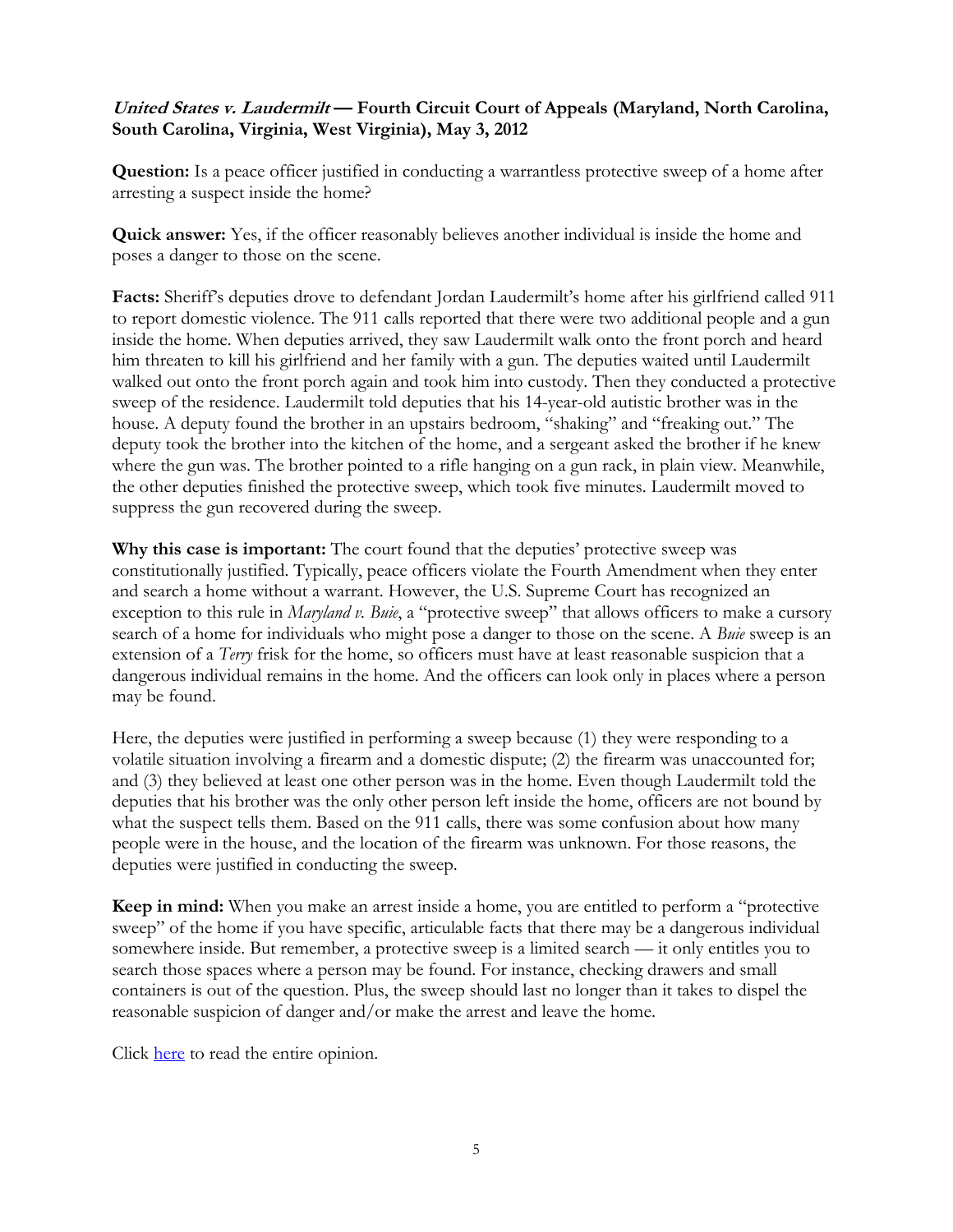## **United States v. Laudermilt — Fourth Circuit Court of Appeals (Maryland, North Carolina, South Carolina, Virginia, West Virginia), May 3, 2012**

**Question:** Is a peace officer justified in conducting a warrantless protective sweep of a home after arresting a suspect inside the home?

**Quick answer:** Yes, if the officer reasonably believes another individual is inside the home and poses a danger to those on the scene.

**Facts:** Sheriff's deputies drove to defendant Jordan Laudermilt's home after his girlfriend called 911 to report domestic violence. The 911 calls reported that there were two additional people and a gun inside the home. When deputies arrived, they saw Laudermilt walk onto the front porch and heard him threaten to kill his girlfriend and her family with a gun. The deputies waited until Laudermilt walked out onto the front porch again and took him into custody. Then they conducted a protective sweep of the residence. Laudermilt told deputies that his 14-year-old autistic brother was in the house. A deputy found the brother in an upstairs bedroom, "shaking" and "freaking out." The deputy took the brother into the kitchen of the home, and a sergeant asked the brother if he knew where the gun was. The brother pointed to a rifle hanging on a gun rack, in plain view. Meanwhile, the other deputies finished the protective sweep, which took five minutes. Laudermilt moved to suppress the gun recovered during the sweep.

**Why this case is important:** The court found that the deputies' protective sweep was constitutionally justified. Typically, peace officers violate the Fourth Amendment when they enter and search a home without a warrant. However, the U.S. Supreme Court has recognized an exception to this rule in *Maryland v. Buie*, a "protective sweep" that allows officers to make a cursory search of a home for individuals who might pose a danger to those on the scene. A *Buie* sweep is an extension of a *Terry* frisk for the home, so officers must have at least reasonable suspicion that a dangerous individual remains in the home. And the officers can look only in places where a person may be found.

Here, the deputies were justified in performing a sweep because (1) they were responding to a volatile situation involving a firearm and a domestic dispute; (2) the firearm was unaccounted for; and (3) they believed at least one other person was in the home. Even though Laudermilt told the deputies that his brother was the only other person left inside the home, officers are not bound by what the suspect tells them. Based on the 911 calls, there was some confusion about how many people were in the house, and the location of the firearm was unknown. For those reasons, the deputies were justified in conducting the sweep.

**Keep in mind:** When you make an arrest inside a home, you are entitled to perform a "protective sweep" of the home if you have specific, articulable facts that there may be a dangerous individual somewhere inside. But remember, a protective sweep is a limited search — it only entitles you to search those spaces where a person may be found. For instance, checking drawers and small containers is out of the question. Plus, the sweep should last no longer than it takes to dispel the reasonable suspicion of danger and/or make the arrest and leave the home.

Click [here](http://pacer.ca4.uscourts.gov/opinion.pdf/114624.P.pdf) to read the entire opinion.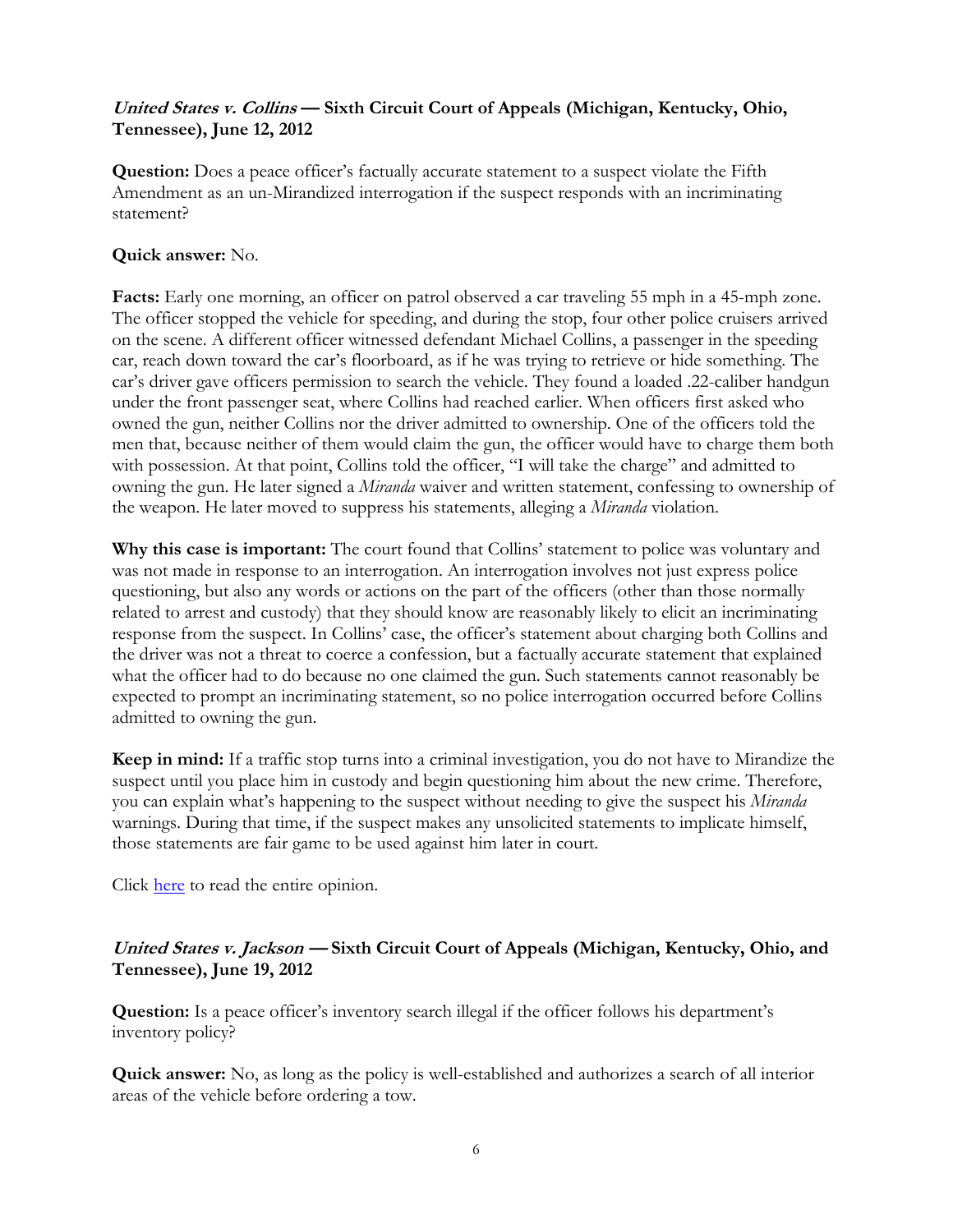## **United States v. Collins — Sixth Circuit Court of Appeals (Michigan, Kentucky, Ohio, Tennessee), June 12, 2012**

**Question:** Does a peace officer's factually accurate statement to a suspect violate the Fifth Amendment as an un-Mirandized interrogation if the suspect responds with an incriminating statement?

#### **Quick answer:** No.

**Facts:** Early one morning, an officer on patrol observed a car traveling 55 mph in a 45-mph zone. The officer stopped the vehicle for speeding, and during the stop, four other police cruisers arrived on the scene. A different officer witnessed defendant Michael Collins, a passenger in the speeding car, reach down toward the car's floorboard, as if he was trying to retrieve or hide something. The car's driver gave officers permission to search the vehicle. They found a loaded .22-caliber handgun under the front passenger seat, where Collins had reached earlier. When officers first asked who owned the gun, neither Collins nor the driver admitted to ownership. One of the officers told the men that, because neither of them would claim the gun, the officer would have to charge them both with possession. At that point, Collins told the officer, "I will take the charge" and admitted to owning the gun. He later signed a *Miranda* waiver and written statement, confessing to ownership of the weapon. He later moved to suppress his statements, alleging a *Miranda* violation.

**Why this case is important:** The court found that Collins' statement to police was voluntary and was not made in response to an interrogation. An interrogation involves not just express police questioning, but also any words or actions on the part of the officers (other than those normally related to arrest and custody) that they should know are reasonably likely to elicit an incriminating response from the suspect. In Collins' case, the officer's statement about charging both Collins and the driver was not a threat to coerce a confession, but a factually accurate statement that explained what the officer had to do because no one claimed the gun. Such statements cannot reasonably be expected to prompt an incriminating statement, so no police interrogation occurred before Collins admitted to owning the gun.

**Keep in mind:** If a traffic stop turns into a criminal investigation, you do not have to Mirandize the suspect until you place him in custody and begin questioning him about the new crime. Therefore, you can explain what's happening to the suspect without needing to give the suspect his *Miranda*  warnings. During that time, if the suspect makes any unsolicited statements to implicate himself, those statements are fair game to be used against him later in court.

Click [here](http://www.ca6.uscourts.gov/opinions.pdf/12a0173p-06.pdf) to read the entire opinion.

#### **United States v. Jackson — Sixth Circuit Court of Appeals (Michigan, Kentucky, Ohio, and Tennessee), June 19, 2012**

**Question:** Is a peace officer's inventory search illegal if the officer follows his department's inventory policy?

**Quick answer:** No, as long as the policy is well-established and authorizes a search of all interior areas of the vehicle before ordering a tow.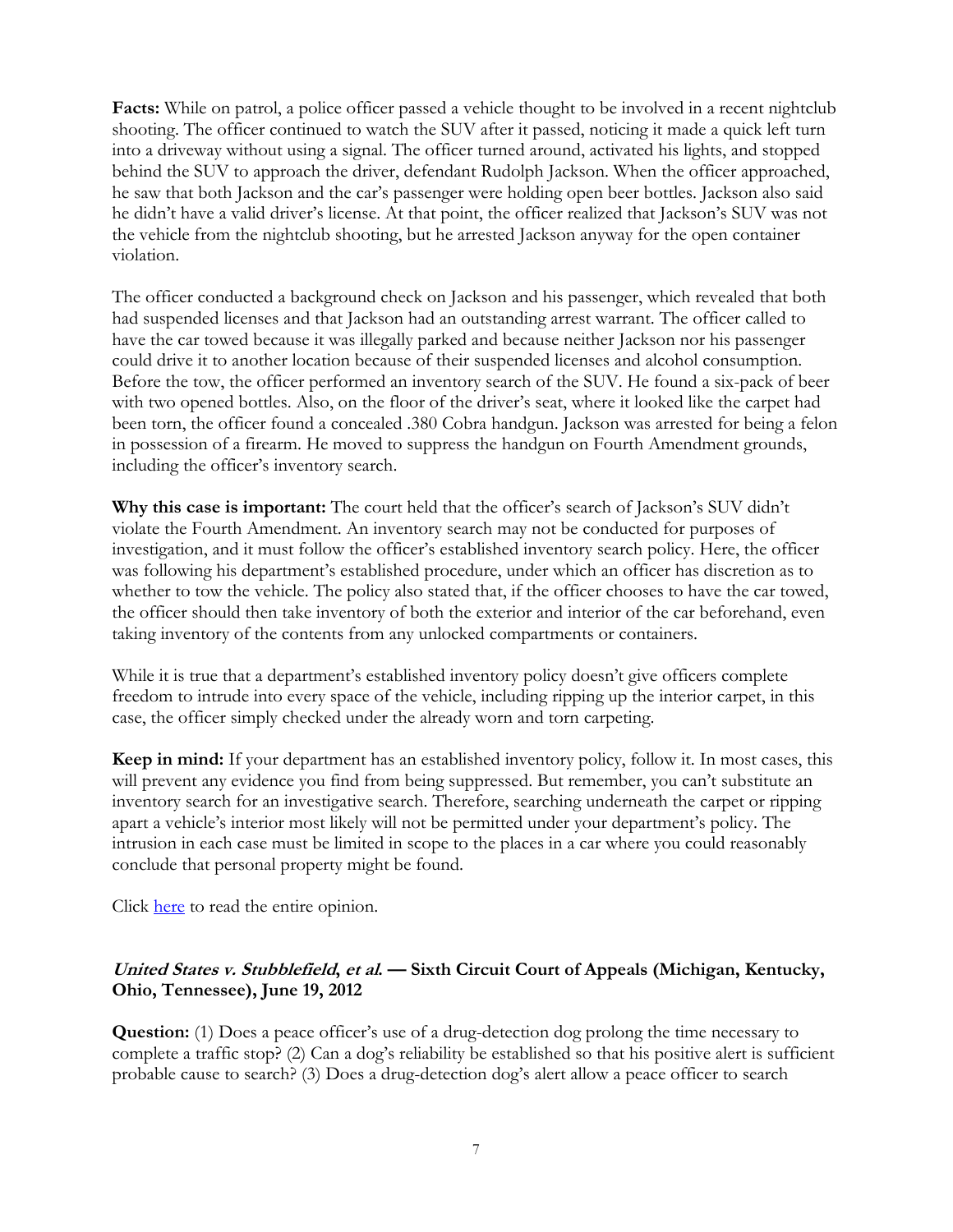**Facts:** While on patrol, a police officer passed a vehicle thought to be involved in a recent nightclub shooting. The officer continued to watch the SUV after it passed, noticing it made a quick left turn into a driveway without using a signal. The officer turned around, activated his lights, and stopped behind the SUV to approach the driver, defendant Rudolph Jackson. When the officer approached, he saw that both Jackson and the car's passenger were holding open beer bottles. Jackson also said he didn't have a valid driver's license. At that point, the officer realized that Jackson's SUV was not the vehicle from the nightclub shooting, but he arrested Jackson anyway for the open container violation.

The officer conducted a background check on Jackson and his passenger, which revealed that both had suspended licenses and that Jackson had an outstanding arrest warrant. The officer called to have the car towed because it was illegally parked and because neither Jackson nor his passenger could drive it to another location because of their suspended licenses and alcohol consumption. Before the tow, the officer performed an inventory search of the SUV. He found a six-pack of beer with two opened bottles. Also, on the floor of the driver's seat, where it looked like the carpet had been torn, the officer found a concealed .380 Cobra handgun. Jackson was arrested for being a felon in possession of a firearm. He moved to suppress the handgun on Fourth Amendment grounds, including the officer's inventory search.

**Why this case is important:** The court held that the officer's search of Jackson's SUV didn't violate the Fourth Amendment. An inventory search may not be conducted for purposes of investigation, and it must follow the officer's established inventory search policy. Here, the officer was following his department's established procedure, under which an officer has discretion as to whether to tow the vehicle. The policy also stated that, if the officer chooses to have the car towed, the officer should then take inventory of both the exterior and interior of the car beforehand, even taking inventory of the contents from any unlocked compartments or containers.

While it is true that a department's established inventory policy doesn't give officers complete freedom to intrude into every space of the vehicle, including ripping up the interior carpet, in this case, the officer simply checked under the already worn and torn carpeting.

**Keep in mind:** If your department has an established inventory policy, follow it. In most cases, this will prevent any evidence you find from being suppressed. But remember, you can't substitute an inventory search for an investigative search. Therefore, searching underneath the carpet or ripping apart a vehicle's interior most likely will not be permitted under your department's policy. The intrusion in each case must be limited in scope to the places in a car where you could reasonably conclude that personal property might be found.

Click [here](http://www.ca6.uscourts.gov/opinions.pdf/12a0181p-06.pdf) to read the entire opinion.

#### **United States v. Stubblefield, et al. — Sixth Circuit Court of Appeals (Michigan, Kentucky, Ohio, Tennessee), June 19, 2012**

**Question:** (1) Does a peace officer's use of a drug-detection dog prolong the time necessary to complete a traffic stop? (2) Can a dog's reliability be established so that his positive alert is sufficient probable cause to search? (3) Does a drug-detection dog's alert allow a peace officer to search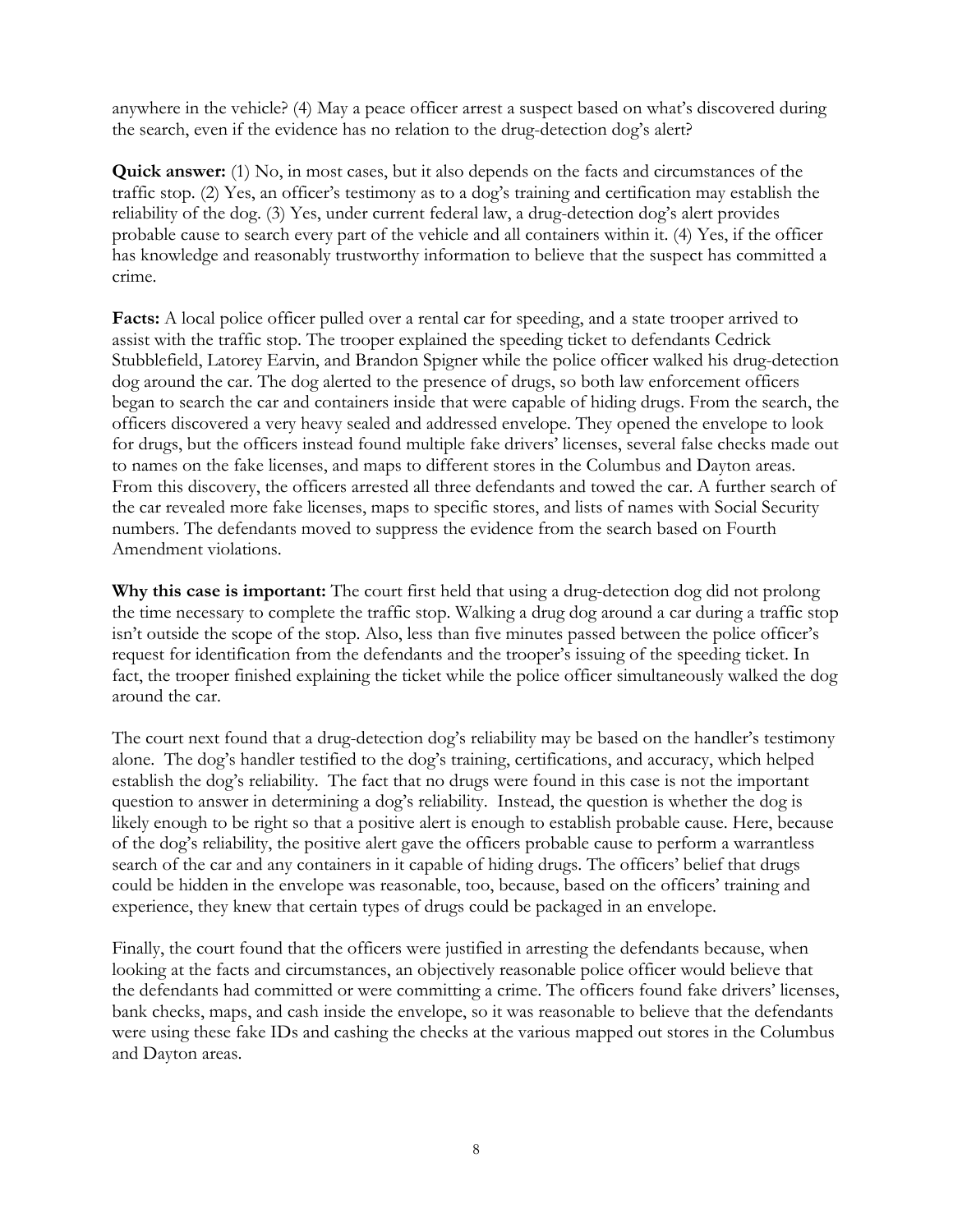anywhere in the vehicle? (4) May a peace officer arrest a suspect based on what's discovered during the search, even if the evidence has no relation to the drug-detection dog's alert?

**Quick answer:** (1) No, in most cases, but it also depends on the facts and circumstances of the traffic stop. (2) Yes, an officer's testimony as to a dog's training and certification may establish the reliability of the dog. (3) Yes, under current federal law, a drug-detection dog's alert provides probable cause to search every part of the vehicle and all containers within it. (4) Yes, if the officer has knowledge and reasonably trustworthy information to believe that the suspect has committed a crime.

**Facts:** A local police officer pulled over a rental car for speeding, and a state trooper arrived to assist with the traffic stop. The trooper explained the speeding ticket to defendants Cedrick Stubblefield, Latorey Earvin, and Brandon Spigner while the police officer walked his drug-detection dog around the car. The dog alerted to the presence of drugs, so both law enforcement officers began to search the car and containers inside that were capable of hiding drugs. From the search, the officers discovered a very heavy sealed and addressed envelope. They opened the envelope to look for drugs, but the officers instead found multiple fake drivers' licenses, several false checks made out to names on the fake licenses, and maps to different stores in the Columbus and Dayton areas. From this discovery, the officers arrested all three defendants and towed the car. A further search of the car revealed more fake licenses, maps to specific stores, and lists of names with Social Security numbers. The defendants moved to suppress the evidence from the search based on Fourth Amendment violations.

**Why this case is important:** The court first held that using a drug-detection dog did not prolong the time necessary to complete the traffic stop. Walking a drug dog around a car during a traffic stop isn't outside the scope of the stop. Also, less than five minutes passed between the police officer's request for identification from the defendants and the trooper's issuing of the speeding ticket. In fact, the trooper finished explaining the ticket while the police officer simultaneously walked the dog around the car.

The court next found that a drug-detection dog's reliability may be based on the handler's testimony alone. The dog's handler testified to the dog's training, certifications, and accuracy, which helped establish the dog's reliability. The fact that no drugs were found in this case is not the important question to answer in determining a dog's reliability. Instead, the question is whether the dog is likely enough to be right so that a positive alert is enough to establish probable cause. Here, because of the dog's reliability, the positive alert gave the officers probable cause to perform a warrantless search of the car and any containers in it capable of hiding drugs. The officers' belief that drugs could be hidden in the envelope was reasonable, too, because, based on the officers' training and experience, they knew that certain types of drugs could be packaged in an envelope.

Finally, the court found that the officers were justified in arresting the defendants because, when looking at the facts and circumstances, an objectively reasonable police officer would believe that the defendants had committed or were committing a crime. The officers found fake drivers' licenses, bank checks, maps, and cash inside the envelope, so it was reasonable to believe that the defendants were using these fake IDs and cashing the checks at the various mapped out stores in the Columbus and Dayton areas.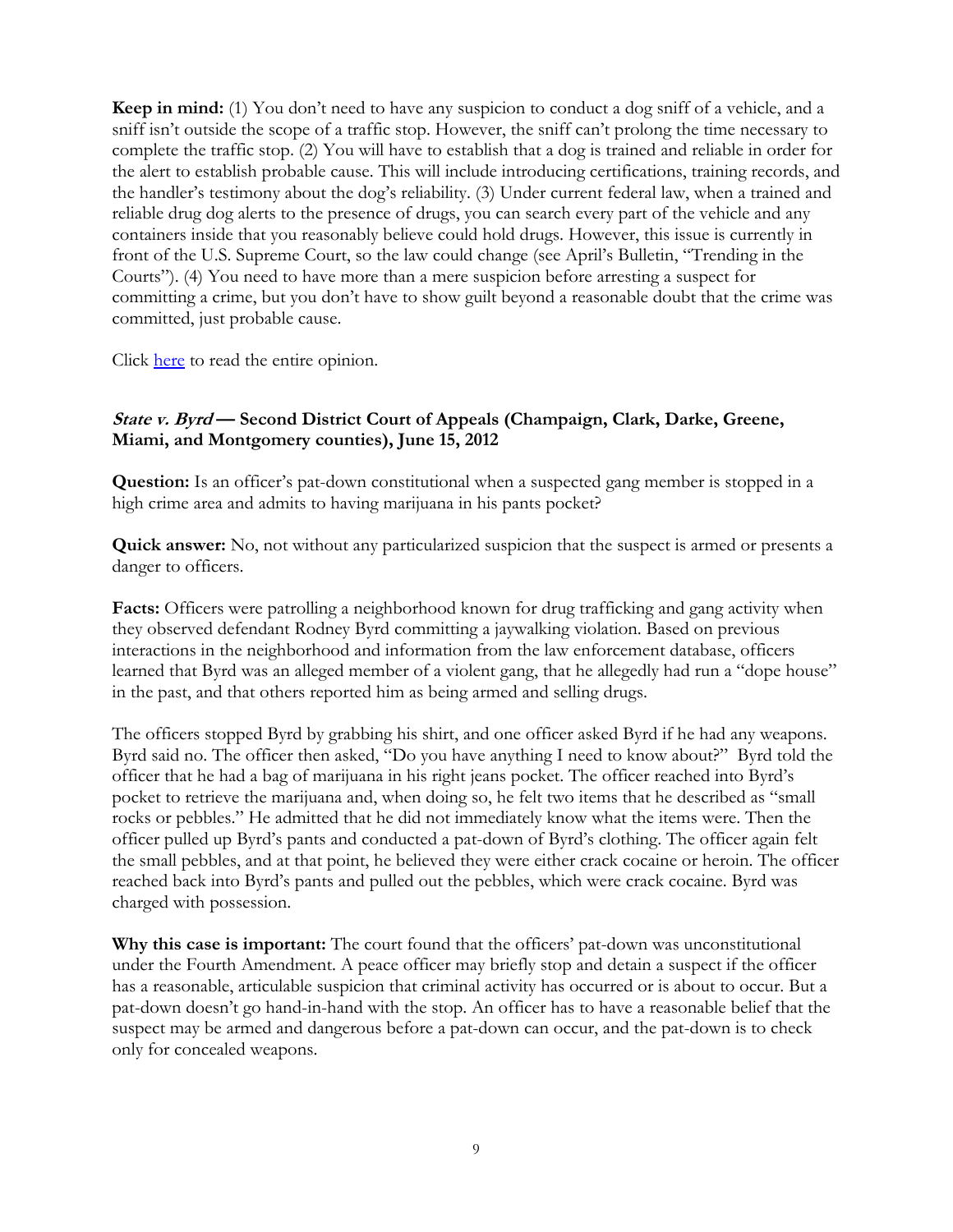**Keep in mind:** (1) You don't need to have any suspicion to conduct a dog sniff of a vehicle, and a sniff isn't outside the scope of a traffic stop. However, the sniff can't prolong the time necessary to complete the traffic stop. (2) You will have to establish that a dog is trained and reliable in order for the alert to establish probable cause. This will include introducing certifications, training records, and the handler's testimony about the dog's reliability. (3) Under current federal law, when a trained and reliable drug dog alerts to the presence of drugs, you can search every part of the vehicle and any containers inside that you reasonably believe could hold drugs. However, this issue is currently in front of the U.S. Supreme Court, so the law could change (see April's Bulletin, "Trending in the Courts"). (4) You need to have more than a mere suspicion before arresting a suspect for committing a crime, but you don't have to show guilt beyond a reasonable doubt that the crime was committed, just probable cause.

Click [here](http://www.ca6.uscourts.gov/opinions.pdf/12a0183p-06.pdf) to read the entire opinion.

## **State v. Byrd — Second District Court of Appeals (Champaign, Clark, Darke, Greene, Miami, and Montgomery counties), June 15, 2012**

**Question:** Is an officer's pat-down constitutional when a suspected gang member is stopped in a high crime area and admits to having marijuana in his pants pocket?

**Quick answer:** No, not without any particularized suspicion that the suspect is armed or presents a danger to officers.

**Facts:** Officers were patrolling a neighborhood known for drug trafficking and gang activity when they observed defendant Rodney Byrd committing a jaywalking violation. Based on previous interactions in the neighborhood and information from the law enforcement database, officers learned that Byrd was an alleged member of a violent gang, that he allegedly had run a "dope house" in the past, and that others reported him as being armed and selling drugs.

The officers stopped Byrd by grabbing his shirt, and one officer asked Byrd if he had any weapons. Byrd said no. The officer then asked, "Do you have anything I need to know about?" Byrd told the officer that he had a bag of marijuana in his right jeans pocket. The officer reached into Byrd's pocket to retrieve the marijuana and, when doing so, he felt two items that he described as "small rocks or pebbles." He admitted that he did not immediately know what the items were. Then the officer pulled up Byrd's pants and conducted a pat-down of Byrd's clothing. The officer again felt the small pebbles, and at that point, he believed they were either crack cocaine or heroin. The officer reached back into Byrd's pants and pulled out the pebbles, which were crack cocaine. Byrd was charged with possession.

**Why this case is important:** The court found that the officers' pat-down was unconstitutional under the Fourth Amendment. A peace officer may briefly stop and detain a suspect if the officer has a reasonable, articulable suspicion that criminal activity has occurred or is about to occur. But a pat-down doesn't go hand-in-hand with the stop. An officer has to have a reasonable belief that the suspect may be armed and dangerous before a pat-down can occur, and the pat-down is to check only for concealed weapons.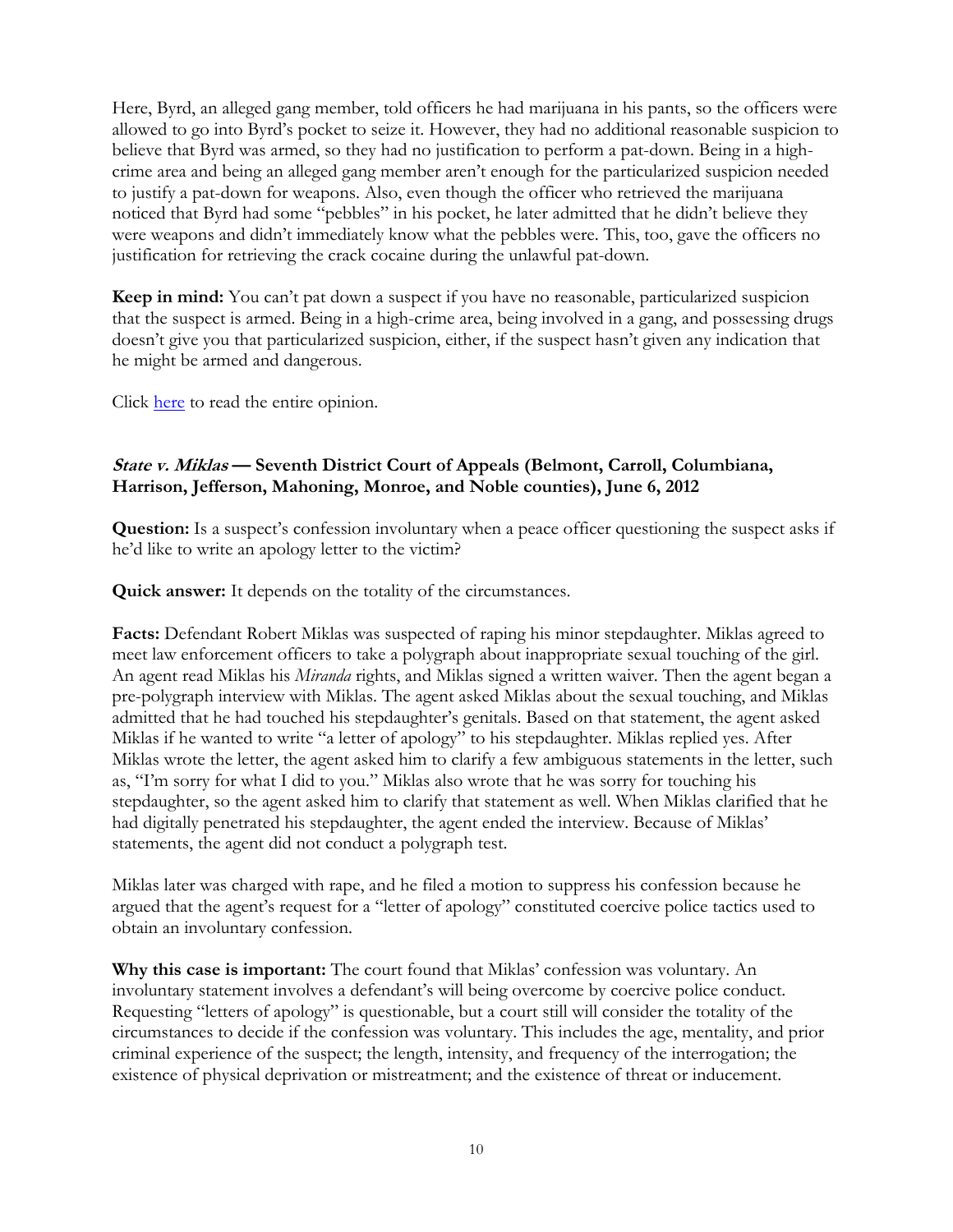Here, Byrd, an alleged gang member, told officers he had marijuana in his pants, so the officers were allowed to go into Byrd's pocket to seize it. However, they had no additional reasonable suspicion to believe that Byrd was armed, so they had no justification to perform a pat-down. Being in a highcrime area and being an alleged gang member aren't enough for the particularized suspicion needed to justify a pat-down for weapons. Also, even though the officer who retrieved the marijuana noticed that Byrd had some "pebbles" in his pocket, he later admitted that he didn't believe they were weapons and didn't immediately know what the pebbles were. This, too, gave the officers no justification for retrieving the crack cocaine during the unlawful pat-down.

**Keep in mind:** You can't pat down a suspect if you have no reasonable, particularized suspicion that the suspect is armed. Being in a high-crime area, being involved in a gang, and possessing drugs doesn't give you that particularized suspicion, either, if the suspect hasn't given any indication that he might be armed and dangerous.

Click [here](http://www.supremecourtofohio.gov/rod/docs/pdf/2/2012/2012-ohio-2659.pdf) to read the entire opinion.

#### **State v. Miklas — Seventh District Court of Appeals (Belmont, Carroll, Columbiana, Harrison, Jefferson, Mahoning, Monroe, and Noble counties), June 6, 2012**

**Question:** Is a suspect's confession involuntary when a peace officer questioning the suspect asks if he'd like to write an apology letter to the victim?

**Quick answer:** It depends on the totality of the circumstances.

**Facts:** Defendant Robert Miklas was suspected of raping his minor stepdaughter. Miklas agreed to meet law enforcement officers to take a polygraph about inappropriate sexual touching of the girl. An agent read Miklas his *Miranda* rights, and Miklas signed a written waiver. Then the agent began a pre-polygraph interview with Miklas. The agent asked Miklas about the sexual touching, and Miklas admitted that he had touched his stepdaughter's genitals. Based on that statement, the agent asked Miklas if he wanted to write "a letter of apology" to his stepdaughter. Miklas replied yes. After Miklas wrote the letter, the agent asked him to clarify a few ambiguous statements in the letter, such as, "I'm sorry for what I did to you." Miklas also wrote that he was sorry for touching his stepdaughter, so the agent asked him to clarify that statement as well. When Miklas clarified that he had digitally penetrated his stepdaughter, the agent ended the interview. Because of Miklas' statements, the agent did not conduct a polygraph test.

Miklas later was charged with rape, and he filed a motion to suppress his confession because he argued that the agent's request for a "letter of apology" constituted coercive police tactics used to obtain an involuntary confession.

**Why this case is important:** The court found that Miklas' confession was voluntary. An involuntary statement involves a defendant's will being overcome by coercive police conduct. Requesting "letters of apology" is questionable, but a court still will consider the totality of the circumstances to decide if the confession was voluntary. This includes the age, mentality, and prior criminal experience of the suspect; the length, intensity, and frequency of the interrogation; the existence of physical deprivation or mistreatment; and the existence of threat or inducement.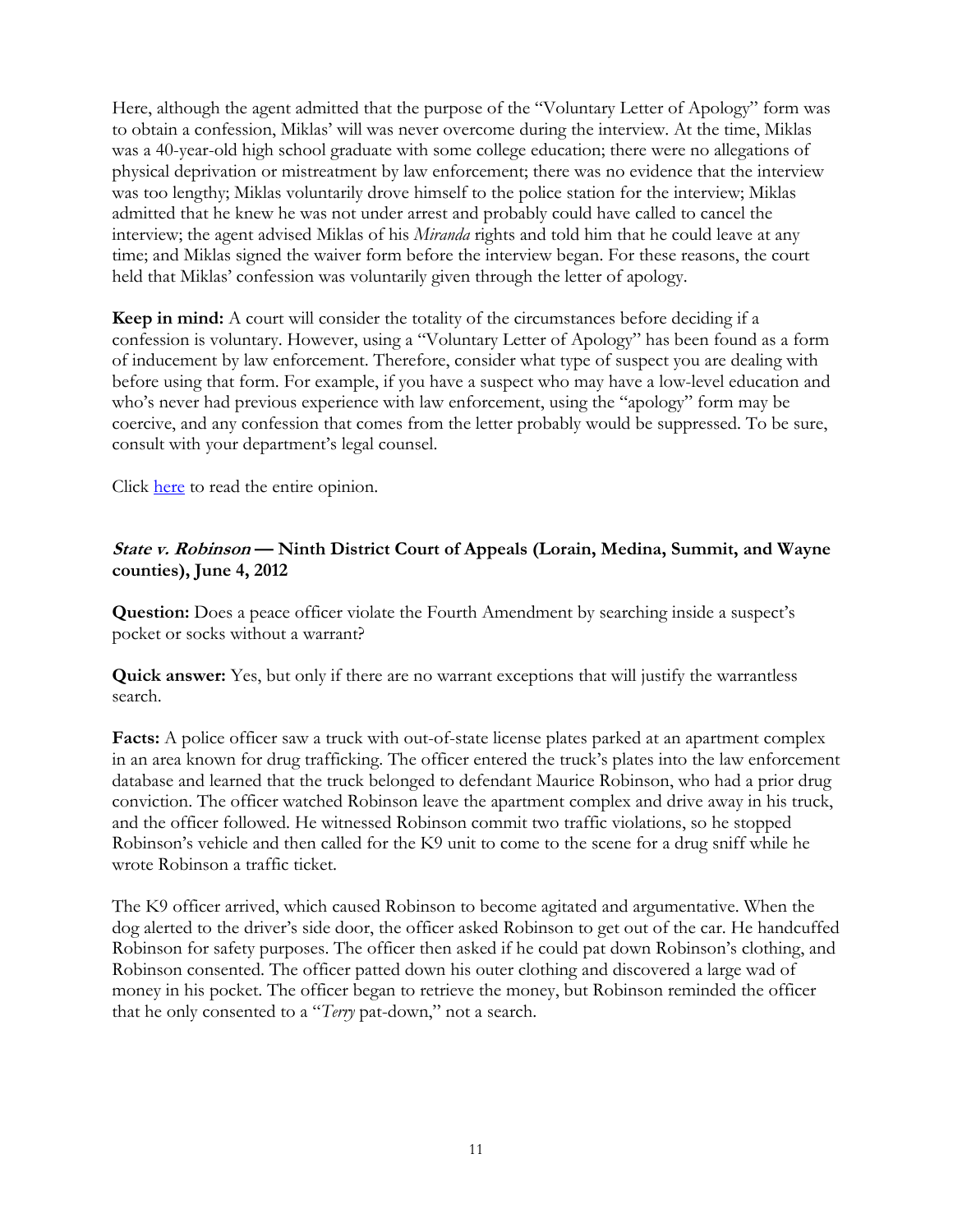Here, although the agent admitted that the purpose of the "Voluntary Letter of Apology" form was to obtain a confession, Miklas' will was never overcome during the interview. At the time, Miklas was a 40-year-old high school graduate with some college education; there were no allegations of physical deprivation or mistreatment by law enforcement; there was no evidence that the interview was too lengthy; Miklas voluntarily drove himself to the police station for the interview; Miklas admitted that he knew he was not under arrest and probably could have called to cancel the interview; the agent advised Miklas of his *Miranda* rights and told him that he could leave at any time; and Miklas signed the waiver form before the interview began. For these reasons, the court held that Miklas' confession was voluntarily given through the letter of apology.

**Keep in mind:** A court will consider the totality of the circumstances before deciding if a confession is voluntary. However, using a "Voluntary Letter of Apology" has been found as a form of inducement by law enforcement. Therefore, consider what type of suspect you are dealing with before using that form. For example, if you have a suspect who may have a low-level education and who's never had previous experience with law enforcement, using the "apology" form may be coercive, and any confession that comes from the letter probably would be suppressed. To be sure, consult with your department's legal counsel.

Click [here](http://www.supremecourtofohio.gov/rod/docs/pdf/7/2012/2012-ohio-2584.pdf) to read the entire opinion.

#### **State v. Robinson — Ninth District Court of Appeals (Lorain, Medina, Summit, and Wayne counties), June 4, 2012**

**Question:** Does a peace officer violate the Fourth Amendment by searching inside a suspect's pocket or socks without a warrant?

**Quick answer:** Yes, but only if there are no warrant exceptions that will justify the warrantless search.

**Facts:** A police officer saw a truck with out-of-state license plates parked at an apartment complex in an area known for drug trafficking. The officer entered the truck's plates into the law enforcement database and learned that the truck belonged to defendant Maurice Robinson, who had a prior drug conviction. The officer watched Robinson leave the apartment complex and drive away in his truck, and the officer followed. He witnessed Robinson commit two traffic violations, so he stopped Robinson's vehicle and then called for the K9 unit to come to the scene for a drug sniff while he wrote Robinson a traffic ticket.

The K9 officer arrived, which caused Robinson to become agitated and argumentative. When the dog alerted to the driver's side door, the officer asked Robinson to get out of the car. He handcuffed Robinson for safety purposes. The officer then asked if he could pat down Robinson's clothing, and Robinson consented. The officer patted down his outer clothing and discovered a large wad of money in his pocket. The officer began to retrieve the money, but Robinson reminded the officer that he only consented to a "*Terry* pat-down," not a search.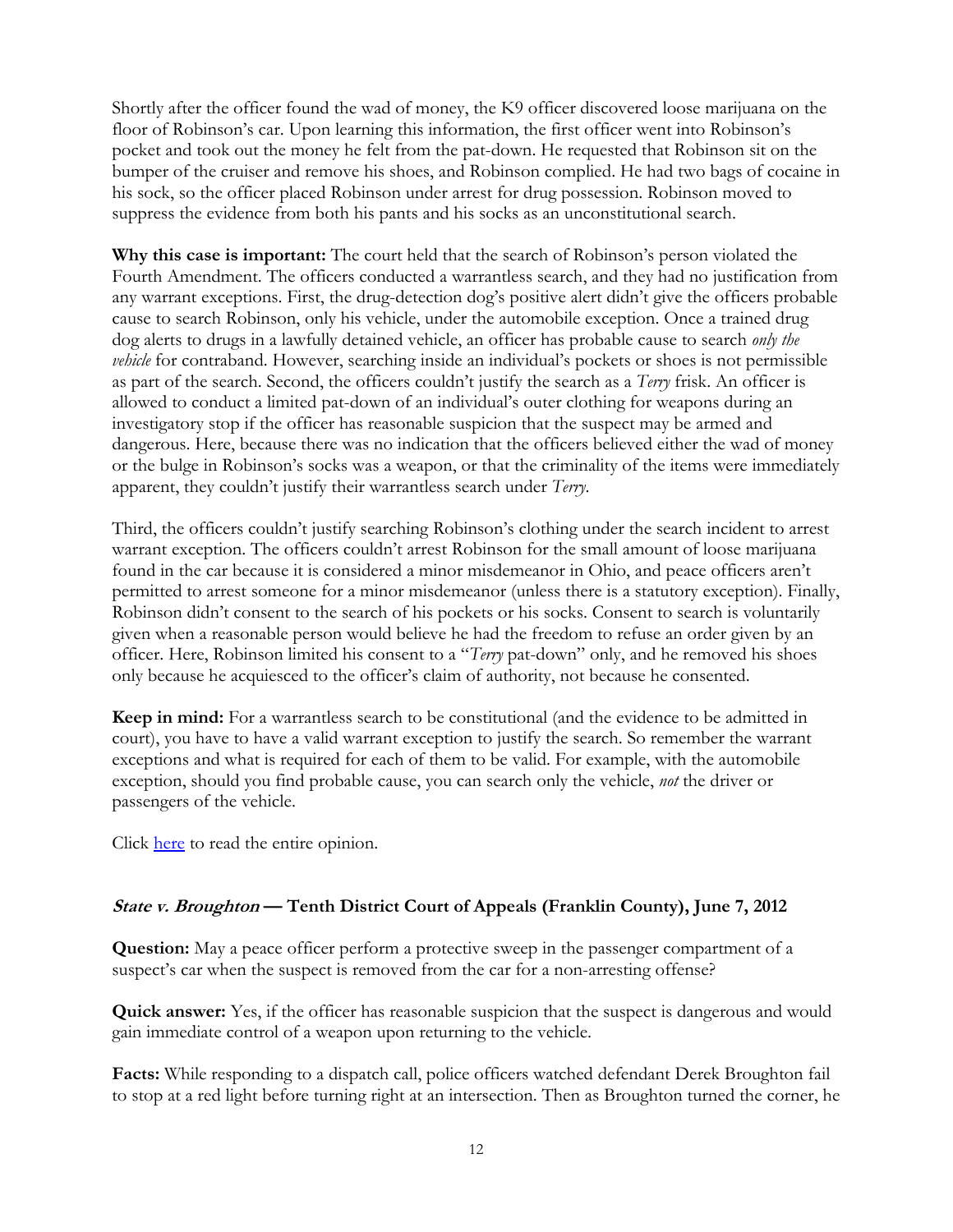Shortly after the officer found the wad of money, the K9 officer discovered loose marijuana on the floor of Robinson's car. Upon learning this information, the first officer went into Robinson's pocket and took out the money he felt from the pat-down. He requested that Robinson sit on the bumper of the cruiser and remove his shoes, and Robinson complied. He had two bags of cocaine in his sock, so the officer placed Robinson under arrest for drug possession. Robinson moved to suppress the evidence from both his pants and his socks as an unconstitutional search.

**Why this case is important:** The court held that the search of Robinson's person violated the Fourth Amendment. The officers conducted a warrantless search, and they had no justification from any warrant exceptions. First, the drug-detection dog's positive alert didn't give the officers probable cause to search Robinson, only his vehicle, under the automobile exception. Once a trained drug dog alerts to drugs in a lawfully detained vehicle, an officer has probable cause to search *only the vehicle* for contraband. However, searching inside an individual's pockets or shoes is not permissible as part of the search. Second, the officers couldn't justify the search as a *Terry* frisk. An officer is allowed to conduct a limited pat-down of an individual's outer clothing for weapons during an investigatory stop if the officer has reasonable suspicion that the suspect may be armed and dangerous. Here, because there was no indication that the officers believed either the wad of money or the bulge in Robinson's socks was a weapon, or that the criminality of the items were immediately apparent, they couldn't justify their warrantless search under *Terry*.

Third, the officers couldn't justify searching Robinson's clothing under the search incident to arrest warrant exception. The officers couldn't arrest Robinson for the small amount of loose marijuana found in the car because it is considered a minor misdemeanor in Ohio, and peace officers aren't permitted to arrest someone for a minor misdemeanor (unless there is a statutory exception). Finally, Robinson didn't consent to the search of his pockets or his socks. Consent to search is voluntarily given when a reasonable person would believe he had the freedom to refuse an order given by an officer. Here, Robinson limited his consent to a "*Terry* pat-down" only, and he removed his shoes only because he acquiesced to the officer's claim of authority, not because he consented.

**Keep in mind:** For a warrantless search to be constitutional (and the evidence to be admitted in court), you have to have a valid warrant exception to justify the search. So remember the warrant exceptions and what is required for each of them to be valid. For example, with the automobile exception, should you find probable cause, you can search only the vehicle, *not* the driver or passengers of the vehicle.

Click [here](http://www.supremecourtofohio.gov/rod/docs/pdf/9/2012/2012-ohio-2428.pdf) to read the entire opinion.

## **State v. Broughton — Tenth District Court of Appeals (Franklin County), June 7, 2012**

**Question:** May a peace officer perform a protective sweep in the passenger compartment of a suspect's car when the suspect is removed from the car for a non-arresting offense?

**Quick answer:** Yes, if the officer has reasonable suspicion that the suspect is dangerous and would gain immediate control of a weapon upon returning to the vehicle.

**Facts:** While responding to a dispatch call, police officers watched defendant Derek Broughton fail to stop at a red light before turning right at an intersection. Then as Broughton turned the corner, he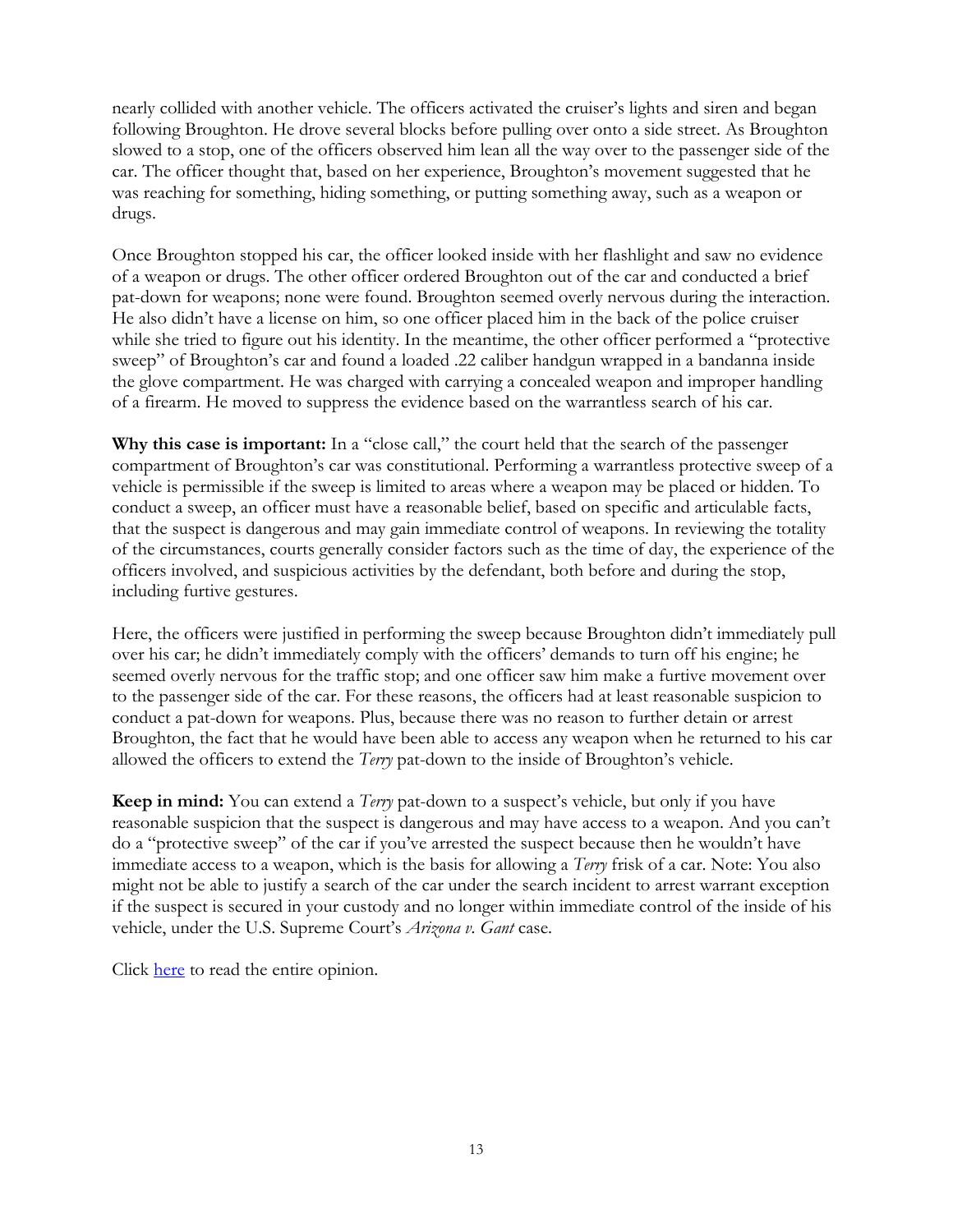nearly collided with another vehicle. The officers activated the cruiser's lights and siren and began following Broughton. He drove several blocks before pulling over onto a side street. As Broughton slowed to a stop, one of the officers observed him lean all the way over to the passenger side of the car. The officer thought that, based on her experience, Broughton's movement suggested that he was reaching for something, hiding something, or putting something away, such as a weapon or drugs.

Once Broughton stopped his car, the officer looked inside with her flashlight and saw no evidence of a weapon or drugs. The other officer ordered Broughton out of the car and conducted a brief pat-down for weapons; none were found. Broughton seemed overly nervous during the interaction. He also didn't have a license on him, so one officer placed him in the back of the police cruiser while she tried to figure out his identity. In the meantime, the other officer performed a "protective sweep" of Broughton's car and found a loaded .22 caliber handgun wrapped in a bandanna inside the glove compartment. He was charged with carrying a concealed weapon and improper handling of a firearm. He moved to suppress the evidence based on the warrantless search of his car.

**Why this case is important:** In a "close call," the court held that the search of the passenger compartment of Broughton's car was constitutional. Performing a warrantless protective sweep of a vehicle is permissible if the sweep is limited to areas where a weapon may be placed or hidden. To conduct a sweep, an officer must have a reasonable belief, based on specific and articulable facts, that the suspect is dangerous and may gain immediate control of weapons. In reviewing the totality of the circumstances, courts generally consider factors such as the time of day, the experience of the officers involved, and suspicious activities by the defendant, both before and during the stop, including furtive gestures.

Here, the officers were justified in performing the sweep because Broughton didn't immediately pull over his car; he didn't immediately comply with the officers' demands to turn off his engine; he seemed overly nervous for the traffic stop; and one officer saw him make a furtive movement over to the passenger side of the car. For these reasons, the officers had at least reasonable suspicion to conduct a pat-down for weapons. Plus, because there was no reason to further detain or arrest Broughton, the fact that he would have been able to access any weapon when he returned to his car allowed the officers to extend the *Terry* pat-down to the inside of Broughton's vehicle.

**Keep in mind:** You can extend a *Terry* pat-down to a suspect's vehicle, but only if you have reasonable suspicion that the suspect is dangerous and may have access to a weapon. And you can't do a "protective sweep" of the car if you've arrested the suspect because then he wouldn't have immediate access to a weapon, which is the basis for allowing a *Terry* frisk of a car. Note: You also might not be able to justify a search of the car under the search incident to arrest warrant exception if the suspect is secured in your custody and no longer within immediate control of the inside of his vehicle, under the U.S. Supreme Court's *Arizona v. Gant* case.

Click [here](http://www.supremecourtofohio.gov/rod/docs/pdf/10/2012/2012-ohio-2526.pdf) to read the entire opinion.